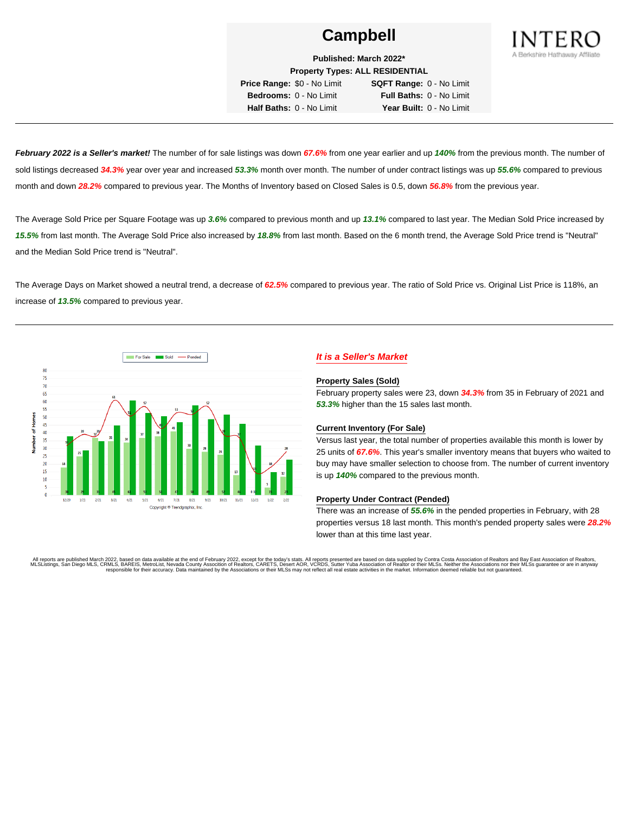

**Published: March 2022\* Property Types: ALL RESIDENTIAL**

**Price Range:** \$0 - No Limit **SQFT Range:** 0 - No Limit **Bedrooms:** 0 - No Limit **Full Baths:** 0 - No Limit **Half Baths:** 0 - No Limit **Year Built:** 0 - No Limit

**February 2022 is a Seller's market!** The number of for sale listings was down **67.6%** from one year earlier and up **140%** from the previous month. The number of sold listings decreased **34.3%** year over year and increased **53.3%** month over month. The number of under contract listings was up **55.6%** compared to previous month and down **28.2%** compared to previous year. The Months of Inventory based on Closed Sales is 0.5, down **56.8%** from the previous year.

The Average Sold Price per Square Footage was up **3.6%** compared to previous month and up **13.1%** compared to last year. The Median Sold Price increased by **15.5%** from last month. The Average Sold Price also increased by **18.8%** from last month. Based on the 6 month trend, the Average Sold Price trend is "Neutral" and the Median Sold Price trend is "Neutral".

The Average Days on Market showed a neutral trend, a decrease of **62.5%** compared to previous year. The ratio of Sold Price vs. Original List Price is 118%, an increase of **13.5%** compared to previous year.



# **It is a Seller's Market**

#### **Property Sales (Sold)**

February property sales were 23, down **34.3%** from 35 in February of 2021 and **53.3%** higher than the 15 sales last month.

### **Current Inventory (For Sale)**

Versus last year, the total number of properties available this month is lower by 25 units of **67.6%**. This year's smaller inventory means that buyers who waited to buy may have smaller selection to choose from. The number of current inventory is up **140%** compared to the previous month.

### **Property Under Contract (Pended)**

There was an increase of **55.6%** in the pended properties in February, with 28 properties versus 18 last month. This month's pended property sales were **28.2%** lower than at this time last year.

All reports are published March 2022, based on data available at the end of February 2022, except for the today's stats. All reports presented are based on data supplied by Contra Costa Association of Realtors and Bay East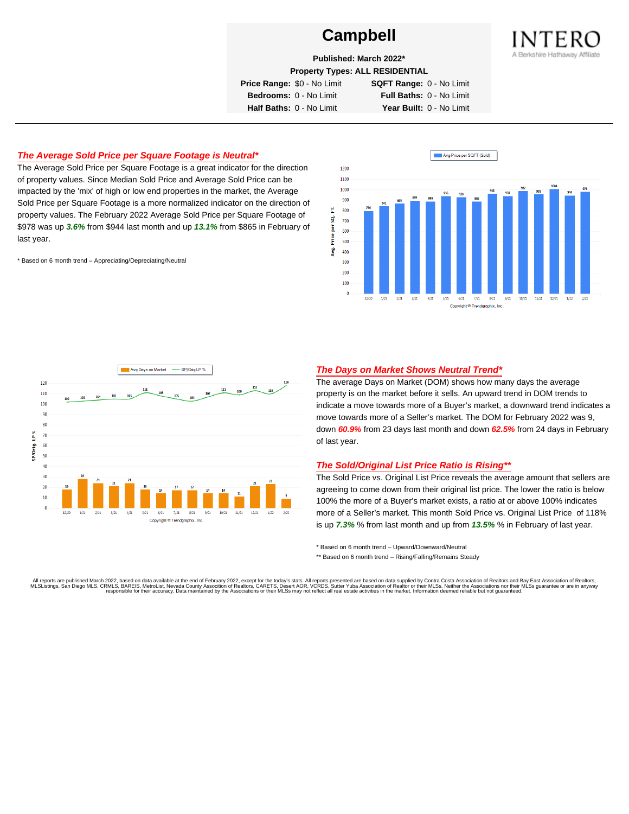

**Published: March 2022\***

**Property Types: ALL RESIDENTIAL**

**Price Range:** \$0 - No Limit **SQFT Range:** 0 - No Limit

**Bedrooms:** 0 - No Limit **Full Baths:** 0 - No Limit **Half Baths:** 0 - No Limit **Year Built:** 0 - No Limit

## **The Average Sold Price per Square Footage is Neutral\***

The Average Sold Price per Square Footage is a great indicator for the direction of property values. Since Median Sold Price and Average Sold Price can be impacted by the 'mix' of high or low end properties in the market, the Average Sold Price per Square Footage is a more normalized indicator on the direction of property values. The February 2022 Average Sold Price per Square Footage of \$978 was up **3.6%** from \$944 last month and up **13.1%** from \$865 in February of last year.

\* Based on 6 month trend – Appreciating/Depreciating/Neutral





### **The Days on Market Shows Neutral Trend\***

The average Days on Market (DOM) shows how many days the average property is on the market before it sells. An upward trend in DOM trends to indicate a move towards more of a Buyer's market, a downward trend indicates a move towards more of a Seller's market. The DOM for February 2022 was 9, down **60.9%** from 23 days last month and down **62.5%** from 24 days in February of last year.

### **The Sold/Original List Price Ratio is Rising\*\***

The Sold Price vs. Original List Price reveals the average amount that sellers are agreeing to come down from their original list price. The lower the ratio is below 100% the more of a Buyer's market exists, a ratio at or above 100% indicates more of a Seller's market. This month Sold Price vs. Original List Price of 118% is up **7.3%** % from last month and up from **13.5%** % in February of last year.

\* Based on 6 month trend – Upward/Downward/Neutral

\*\* Based on 6 month trend - Rising/Falling/Remains Steady

All reports are published March 2022, based on data available at the end of February 2022, except for the today's stats. All reports presented are based on data supplied by Contra Costa Association of Realtors and Bay East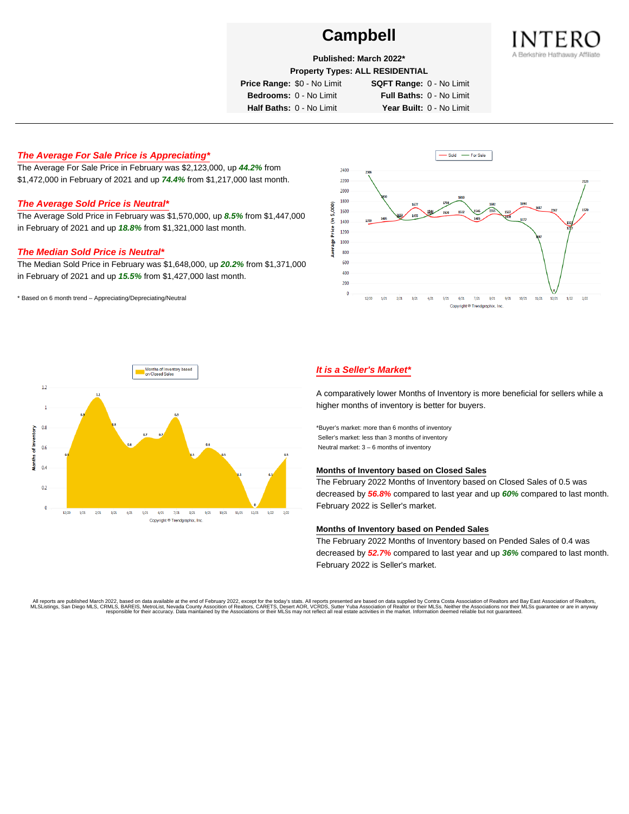

**Published: March 2022\***

**Property Types: ALL RESIDENTIAL**

**Price Range:** \$0 - No Limit **SQFT Range:** 0 - No Limit

**Bedrooms:** 0 - No Limit **Full Baths:** 0 - No Limit

**Half Baths:** 0 - No Limit **Year Built:** 0 - No Limit

# **The Average For Sale Price is Appreciating\***

The Average For Sale Price in February was \$2,123,000, up **44.2%** from \$1,472,000 in February of 2021 and up **74.4%** from \$1,217,000 last month.

# **The Average Sold Price is Neutral\***

The Average Sold Price in February was \$1,570,000, up **8.5%** from \$1,447,000 in February of 2021 and up **18.8%** from \$1,321,000 last month.

### **The Median Sold Price is Neutral\***

The Median Sold Price in February was \$1,648,000, up **20.2%** from \$1,371,000 in February of 2021 and up **15.5%** from \$1,427,000 last month.

\* Based on 6 month trend – Appreciating/Depreciating/Neutral





# **It is a Seller's Market\***

A comparatively lower Months of Inventory is more beneficial for sellers while a higher months of inventory is better for buyers.

\*Buyer's market: more than 6 months of inventory Seller's market: less than 3 months of inventory Neutral market: 3 – 6 months of inventory

#### **Months of Inventory based on Closed Sales**

The February 2022 Months of Inventory based on Closed Sales of 0.5 was decreased by **56.8%** compared to last year and up **60%** compared to last month. February 2022 is Seller's market.

#### **Months of Inventory based on Pended Sales**

The February 2022 Months of Inventory based on Pended Sales of 0.4 was decreased by **52.7%** compared to last year and up **36%** compared to last month. February 2022 is Seller's market.

. All reports are published March 2022, based on data available at the end of February 2022, except for the today's stats. All reports presented are based on data supplied by Contra Costa Association of Realtors, San Bread responsible for their accuracy. Data maintained by the Associations or their MLSs may not reflect all real estate activities in the market. Information deemed reliable but not quaranteed